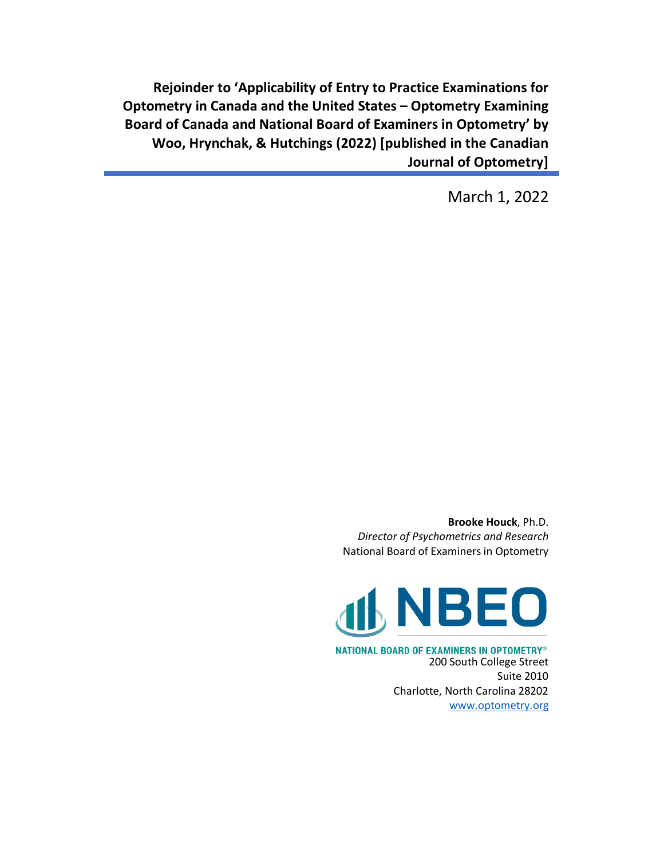**Rejoinder to 'Applicability of Entry to Practice Examinations for Optometry in Canada and the United States – Optometry Examining Board of Canada and National Board of Examiners in Optometry' by Woo, Hrynchak, & Hutchings (2022) [published in the Canadian Journal of Optometry]**

March 1, 2022

**Brooke Houck**, Ph.D. *Director of Psychometrics and Research* National Board of Examiners in Optometry



NATIONAL BOARD OF EXAMINERS IN OPTOMETRY® 200 South College Street Suite 2010 Charlotte, North Carolina 28202 [www.optometry.org](http://www.optometry.org/)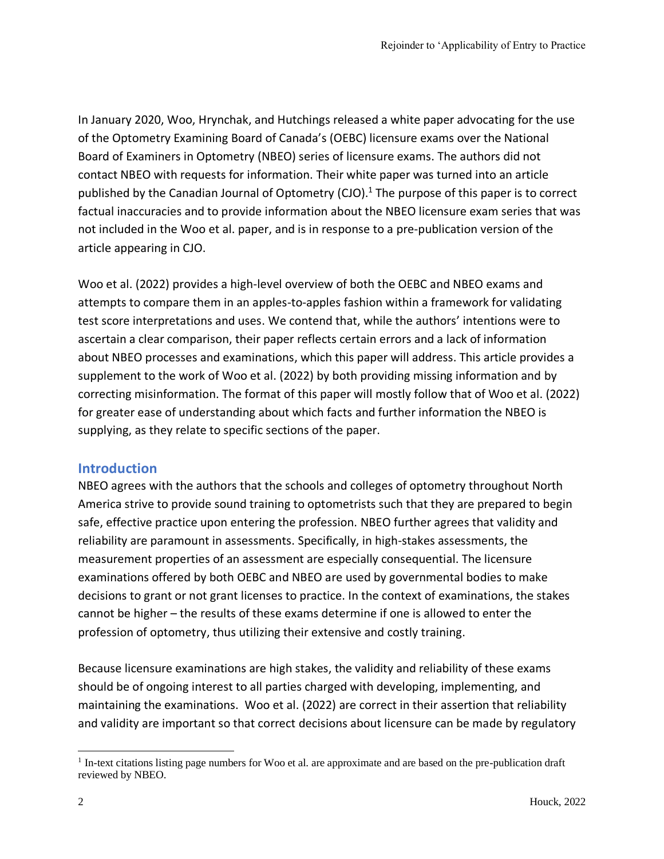In January 2020, Woo, Hrynchak, and Hutchings released a white paper advocating for the use of the Optometry Examining Board of Canada's (OEBC) licensure exams over the National Board of Examiners in Optometry (NBEO) series of licensure exams. The authors did not contact NBEO with requests for information. Their white paper was turned into an article published by the Canadian Journal of Optometry (CJO).<sup>1</sup> The purpose of this paper is to correct factual inaccuracies and to provide information about the NBEO licensure exam series that was not included in the Woo et al. paper, and is in response to a pre-publication version of the article appearing in CJO.

Woo et al. (2022) provides a high-level overview of both the OEBC and NBEO exams and attempts to compare them in an apples-to-apples fashion within a framework for validating test score interpretations and uses. We contend that, while the authors' intentions were to ascertain a clear comparison, their paper reflects certain errors and a lack of information about NBEO processes and examinations, which this paper will address. This article provides a supplement to the work of Woo et al. (2022) by both providing missing information and by correcting misinformation. The format of this paper will mostly follow that of Woo et al. (2022) for greater ease of understanding about which facts and further information the NBEO is supplying, as they relate to specific sections of the paper.

#### **Introduction**

NBEO agrees with the authors that the schools and colleges of optometry throughout North America strive to provide sound training to optometrists such that they are prepared to begin safe, effective practice upon entering the profession. NBEO further agrees that validity and reliability are paramount in assessments. Specifically, in high-stakes assessments, the measurement properties of an assessment are especially consequential. The licensure examinations offered by both OEBC and NBEO are used by governmental bodies to make decisions to grant or not grant licenses to practice. In the context of examinations, the stakes cannot be higher – the results of these exams determine if one is allowed to enter the profession of optometry, thus utilizing their extensive and costly training.

Because licensure examinations are high stakes, the validity and reliability of these exams should be of ongoing interest to all parties charged with developing, implementing, and maintaining the examinations. Woo et al. (2022) are correct in their assertion that reliability and validity are important so that correct decisions about licensure can be made by regulatory

<sup>&</sup>lt;sup>1</sup> In-text citations listing page numbers for Woo et al. are approximate and are based on the pre-publication draft reviewed by NBEO.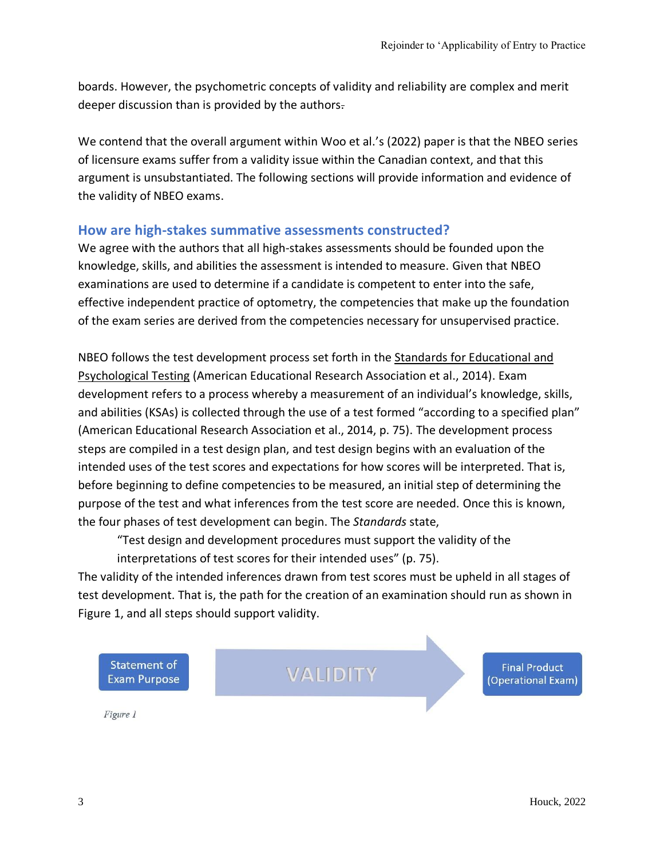boards. However, the psychometric concepts of validity and reliability are complex and merit deeper discussion than is provided by the authors.

We contend that the overall argument within Woo et al.'s (2022) paper is that the NBEO series of licensure exams suffer from a validity issue within the Canadian context, and that this argument is unsubstantiated. The following sections will provide information and evidence of the validity of NBEO exams.

#### **How are high-stakes summative assessments constructed?**

We agree with the authors that all high-stakes assessments should be founded upon the knowledge, skills, and abilities the assessment is intended to measure. Given that NBEO examinations are used to determine if a candidate is competent to enter into the safe, effective independent practice of optometry, the competencies that make up the foundation of the exam series are derived from the competencies necessary for unsupervised practice.

NBEO follows the test development process set forth in the Standards for Educational and Psychological Testing (American Educational Research Association et al., 2014). Exam development refers to a process whereby a measurement of an individual's knowledge, skills, and abilities (KSAs) is collected through the use of a test formed "according to a specified plan" (American Educational Research Association et al., 2014, p. 75). The development process steps are compiled in a test design plan, and test design begins with an evaluation of the intended uses of the test scores and expectations for how scores will be interpreted. That is, before beginning to define competencies to be measured, an initial step of determining the purpose of the test and what inferences from the test score are needed. Once this is known, the four phases of test development can begin. The *Standards* state,

"Test design and development procedures must support the validity of the interpretations of test scores for their intended uses" (p. 75).

The validity of the intended inferences drawn from test scores must be upheld in all stages of test development. That is, the path for the creation of an examination should run as shown in Figure 1, and all steps should support validity.

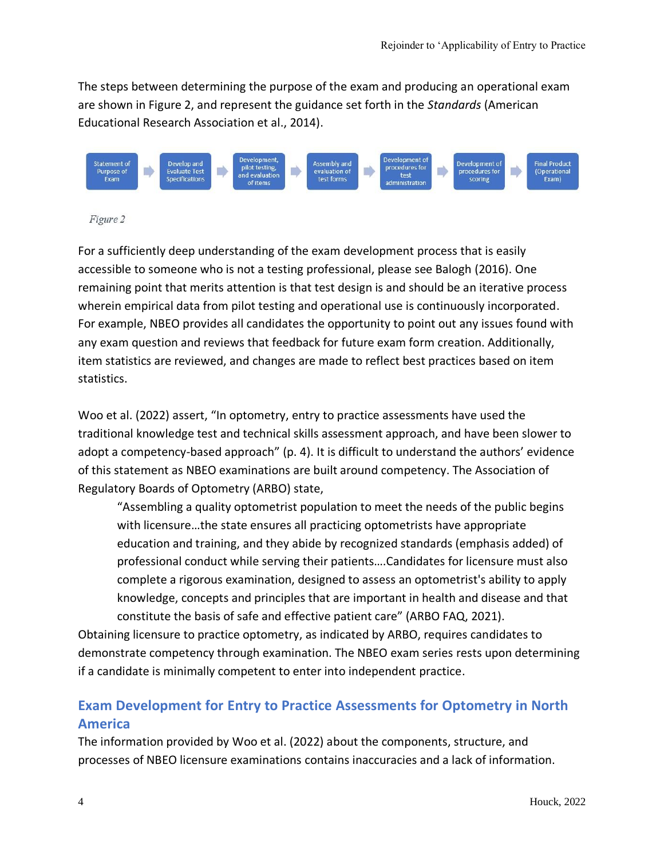The steps between determining the purpose of the exam and producing an operational exam are shown in Figure 2, and represent the guidance set forth in the *Standards* (American Educational Research Association et al., 2014).



#### Figure 2

For a sufficiently deep understanding of the exam development process that is easily accessible to someone who is not a testing professional, please see Balogh (2016). One remaining point that merits attention is that test design is and should be an iterative process wherein empirical data from pilot testing and operational use is continuously incorporated. For example, NBEO provides all candidates the opportunity to point out any issues found with any exam question and reviews that feedback for future exam form creation. Additionally, item statistics are reviewed, and changes are made to reflect best practices based on item statistics.

Woo et al. (2022) assert, "In optometry, entry to practice assessments have used the traditional knowledge test and technical skills assessment approach, and have been slower to adopt a competency-based approach" (p. 4). It is difficult to understand the authors' evidence of this statement as NBEO examinations are built around competency. The Association of Regulatory Boards of Optometry (ARBO) state,

"Assembling a quality optometrist population to meet the needs of the public begins with licensure…the state ensures all practicing optometrists have appropriate education and training, and they abide by recognized standards (emphasis added) of professional conduct while serving their patients….Candidates for licensure must also complete a rigorous examination, designed to assess an optometrist's ability to apply knowledge, concepts and principles that are important in health and disease and that constitute the basis of safe and effective patient care" (ARBO FAQ, 2021).

Obtaining licensure to practice optometry, as indicated by ARBO, requires candidates to demonstrate competency through examination. The NBEO exam series rests upon determining if a candidate is minimally competent to enter into independent practice.

# **Exam Development for Entry to Practice Assessments for Optometry in North America**

The information provided by Woo et al. (2022) about the components, structure, and processes of NBEO licensure examinations contains inaccuracies and a lack of information.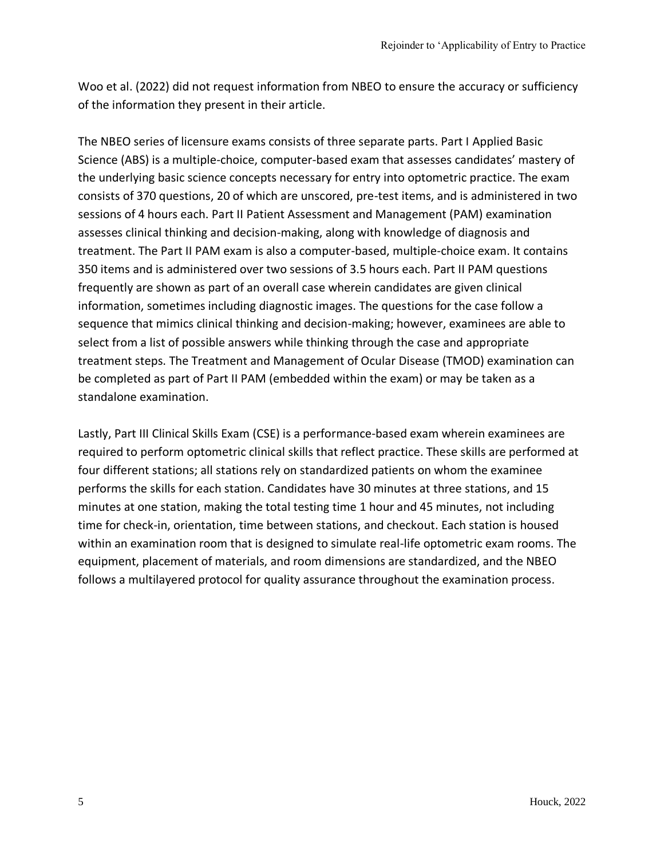Woo et al. (2022) did not request information from NBEO to ensure the accuracy or sufficiency of the information they present in their article.

The NBEO series of licensure exams consists of three separate parts. Part I Applied Basic Science (ABS) is a multiple-choice, computer-based exam that assesses candidates' mastery of the underlying basic science concepts necessary for entry into optometric practice. The exam consists of 370 questions, 20 of which are unscored, pre-test items, and is administered in two sessions of 4 hours each. Part II Patient Assessment and Management (PAM) examination assesses clinical thinking and decision-making, along with knowledge of diagnosis and treatment. The Part II PAM exam is also a computer-based, multiple-choice exam. It contains 350 items and is administered over two sessions of 3.5 hours each. Part II PAM questions frequently are shown as part of an overall case wherein candidates are given clinical information, sometimes including diagnostic images. The questions for the case follow a sequence that mimics clinical thinking and decision-making; however, examinees are able to select from a list of possible answers while thinking through the case and appropriate treatment steps. The Treatment and Management of Ocular Disease (TMOD) examination can be completed as part of Part II PAM (embedded within the exam) or may be taken as a standalone examination.

Lastly, Part III Clinical Skills Exam (CSE) is a performance-based exam wherein examinees are required to perform optometric clinical skills that reflect practice. These skills are performed at four different stations; all stations rely on standardized patients on whom the examinee performs the skills for each station. Candidates have 30 minutes at three stations, and 15 minutes at one station, making the total testing time 1 hour and 45 minutes, not including time for check-in, orientation, time between stations, and checkout. Each station is housed within an examination room that is designed to simulate real-life optometric exam rooms. The equipment, placement of materials, and room dimensions are standardized, and the NBEO follows a multilayered protocol for quality assurance throughout the examination process.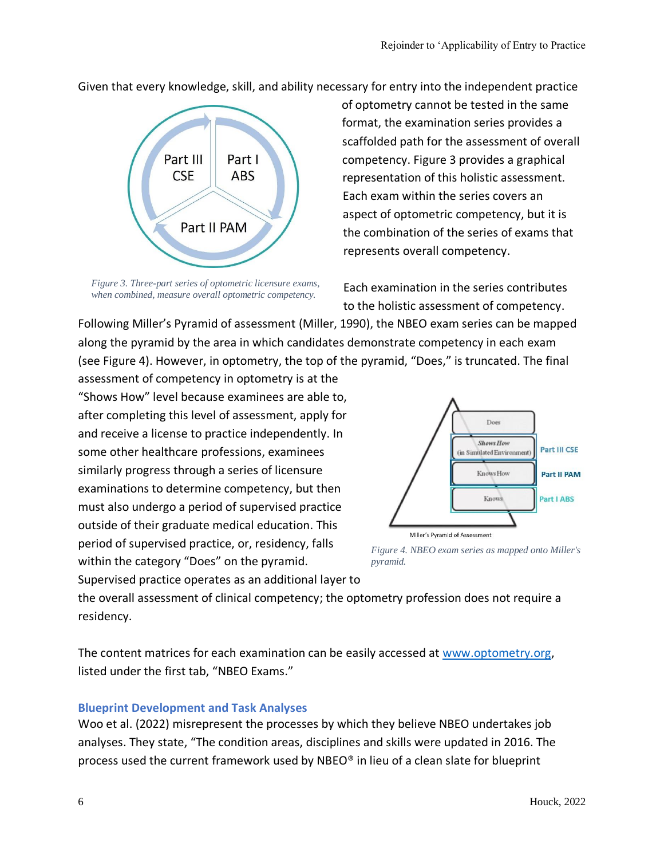Given that every knowledge, skill, and ability necessary for entry into the independent practice



*Figure 3. Three-part series of optometric licensure exams, when combined, measure overall optometric competency.*

of optometry cannot be tested in the same format, the examination series provides a scaffolded path for the assessment of overall competency. Figure 3 provides a graphical representation of this holistic assessment. Each exam within the series covers an aspect of optometric competency, but it is the combination of the series of exams that represents overall competency.

Each examination in the series contributes to the holistic assessment of competency.

Following Miller's Pyramid of assessment (Miller, 1990), the NBEO exam series can be mapped along the pyramid by the area in which candidates demonstrate competency in each exam (see Figure 4). However, in optometry, the top of the pyramid, "Does," is truncated. The final

assessment of competency in optometry is at the "Shows How" level because examinees are able to, after completing this level of assessment, apply for and receive a license to practice independently. In some other healthcare professions, examinees similarly progress through a series of licensure examinations to determine competency, but then must also undergo a period of supervised practice outside of their graduate medical education. This period of supervised practice, or, residency, falls within the category "Does" on the pyramid. Supervised practice operates as an additional layer to



*Figure 4. NBEO exam series as mapped onto Miller's pyramid.*

the overall assessment of clinical competency; the optometry profession does not require a residency.

The content matrices for each examination can be easily accessed at [www.optometry.org,](http://www.optometry.org/) listed under the first tab, "NBEO Exams."

#### **Blueprint Development and Task Analyses**

Woo et al. (2022) misrepresent the processes by which they believe NBEO undertakes job analyses. They state, "The condition areas, disciplines and skills were updated in 2016. The process used the current framework used by NBEO® in lieu of a clean slate for blueprint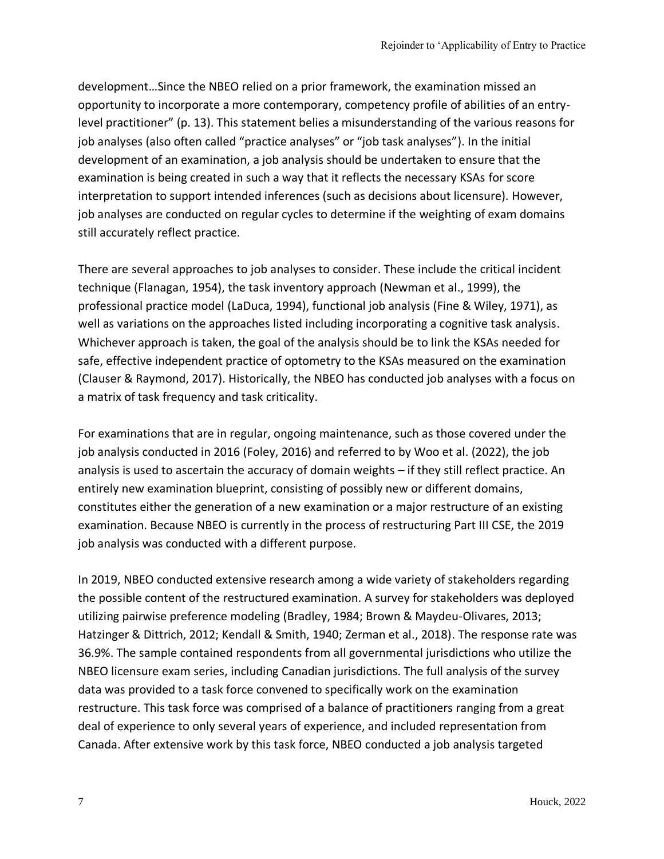development…Since the NBEO relied on a prior framework, the examination missed an opportunity to incorporate a more contemporary, competency profile of abilities of an entrylevel practitioner" (p. 13). This statement belies a misunderstanding of the various reasons for job analyses (also often called "practice analyses" or "job task analyses"). In the initial development of an examination, a job analysis should be undertaken to ensure that the examination is being created in such a way that it reflects the necessary KSAs for score interpretation to support intended inferences (such as decisions about licensure). However, job analyses are conducted on regular cycles to determine if the weighting of exam domains still accurately reflect practice.

There are several approaches to job analyses to consider. These include the critical incident technique (Flanagan, 1954), the task inventory approach (Newman et al., 1999), the professional practice model (LaDuca, 1994), functional job analysis (Fine & Wiley, 1971), as well as variations on the approaches listed including incorporating a cognitive task analysis. Whichever approach is taken, the goal of the analysis should be to link the KSAs needed for safe, effective independent practice of optometry to the KSAs measured on the examination (Clauser & Raymond, 2017). Historically, the NBEO has conducted job analyses with a focus on a matrix of task frequency and task criticality.

For examinations that are in regular, ongoing maintenance, such as those covered under the job analysis conducted in 2016 (Foley, 2016) and referred to by Woo et al. (2022), the job analysis is used to ascertain the accuracy of domain weights – if they still reflect practice. An entirely new examination blueprint, consisting of possibly new or different domains, constitutes either the generation of a new examination or a major restructure of an existing examination. Because NBEO is currently in the process of restructuring Part III CSE, the 2019 job analysis was conducted with a different purpose.

In 2019, NBEO conducted extensive research among a wide variety of stakeholders regarding the possible content of the restructured examination. A survey for stakeholders was deployed utilizing pairwise preference modeling (Bradley, 1984; Brown & Maydeu-Olivares, 2013; Hatzinger & Dittrich, 2012; Kendall & Smith, 1940; Zerman et al., 2018). The response rate was 36.9%. The sample contained respondents from all governmental jurisdictions who utilize the NBEO licensure exam series, including Canadian jurisdictions. The full analysis of the survey data was provided to a task force convened to specifically work on the examination restructure. This task force was comprised of a balance of practitioners ranging from a great deal of experience to only several years of experience, and included representation from Canada. After extensive work by this task force, NBEO conducted a job analysis targeted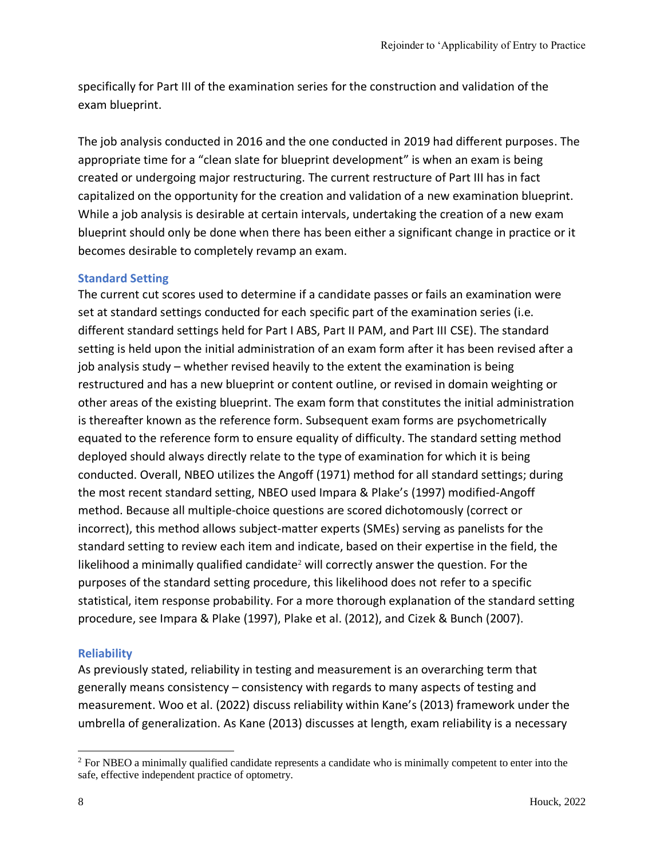specifically for Part III of the examination series for the construction and validation of the exam blueprint.

The job analysis conducted in 2016 and the one conducted in 2019 had different purposes. The appropriate time for a "clean slate for blueprint development" is when an exam is being created or undergoing major restructuring. The current restructure of Part III has in fact capitalized on the opportunity for the creation and validation of a new examination blueprint. While a job analysis is desirable at certain intervals, undertaking the creation of a new exam blueprint should only be done when there has been either a significant change in practice or it becomes desirable to completely revamp an exam.

#### **Standard Setting**

The current cut scores used to determine if a candidate passes or fails an examination were set at standard settings conducted for each specific part of the examination series (i.e. different standard settings held for Part I ABS, Part II PAM, and Part III CSE). The standard setting is held upon the initial administration of an exam form after it has been revised after a job analysis study – whether revised heavily to the extent the examination is being restructured and has a new blueprint or content outline, or revised in domain weighting or other areas of the existing blueprint. The exam form that constitutes the initial administration is thereafter known as the reference form. Subsequent exam forms are psychometrically equated to the reference form to ensure equality of difficulty. The standard setting method deployed should always directly relate to the type of examination for which it is being conducted. Overall, NBEO utilizes the Angoff (1971) method for all standard settings; during the most recent standard setting, NBEO used Impara & Plake's (1997) modified-Angoff method. Because all multiple-choice questions are scored dichotomously (correct or incorrect), this method allows subject-matter experts (SMEs) serving as panelists for the standard setting to review each item and indicate, based on their expertise in the field, the likelihood a minimally qualified candidate<sup>2</sup> will correctly answer the question. For the purposes of the standard setting procedure, this likelihood does not refer to a specific statistical, item response probability. For a more thorough explanation of the standard setting procedure, see Impara & Plake (1997), Plake et al. (2012), and Cizek & Bunch (2007).

#### **Reliability**

As previously stated, reliability in testing and measurement is an overarching term that generally means consistency – consistency with regards to many aspects of testing and measurement. Woo et al. (2022) discuss reliability within Kane's (2013) framework under the umbrella of generalization. As Kane (2013) discusses at length, exam reliability is a necessary

<sup>&</sup>lt;sup>2</sup> For NBEO a minimally qualified candidate represents a candidate who is minimally competent to enter into the safe, effective independent practice of optometry.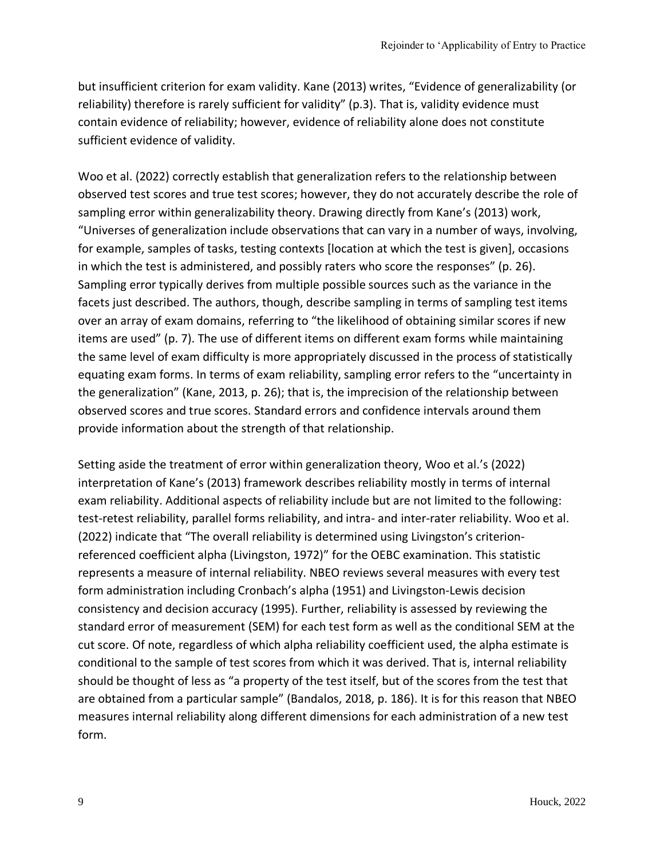but insufficient criterion for exam validity. Kane (2013) writes, "Evidence of generalizability (or reliability) therefore is rarely sufficient for validity" (p.3). That is, validity evidence must contain evidence of reliability; however, evidence of reliability alone does not constitute sufficient evidence of validity.

Woo et al. (2022) correctly establish that generalization refers to the relationship between observed test scores and true test scores; however, they do not accurately describe the role of sampling error within generalizability theory. Drawing directly from Kane's (2013) work, "Universes of generalization include observations that can vary in a number of ways, involving, for example, samples of tasks, testing contexts [location at which the test is given], occasions in which the test is administered, and possibly raters who score the responses" (p. 26). Sampling error typically derives from multiple possible sources such as the variance in the facets just described. The authors, though, describe sampling in terms of sampling test items over an array of exam domains, referring to "the likelihood of obtaining similar scores if new items are used" (p. 7). The use of different items on different exam forms while maintaining the same level of exam difficulty is more appropriately discussed in the process of statistically equating exam forms. In terms of exam reliability, sampling error refers to the "uncertainty in the generalization" (Kane, 2013, p. 26); that is, the imprecision of the relationship between observed scores and true scores. Standard errors and confidence intervals around them provide information about the strength of that relationship.

Setting aside the treatment of error within generalization theory, Woo et al.'s (2022) interpretation of Kane's (2013) framework describes reliability mostly in terms of internal exam reliability. Additional aspects of reliability include but are not limited to the following: test-retest reliability, parallel forms reliability, and intra- and inter-rater reliability. Woo et al. (2022) indicate that "The overall reliability is determined using Livingston's criterionreferenced coefficient alpha (Livingston, 1972)" for the OEBC examination. This statistic represents a measure of internal reliability. NBEO reviews several measures with every test form administration including Cronbach's alpha (1951) and Livingston-Lewis decision consistency and decision accuracy (1995). Further, reliability is assessed by reviewing the standard error of measurement (SEM) for each test form as well as the conditional SEM at the cut score. Of note, regardless of which alpha reliability coefficient used, the alpha estimate is conditional to the sample of test scores from which it was derived. That is, internal reliability should be thought of less as "a property of the test itself, but of the scores from the test that are obtained from a particular sample" (Bandalos, 2018, p. 186). It is for this reason that NBEO measures internal reliability along different dimensions for each administration of a new test form.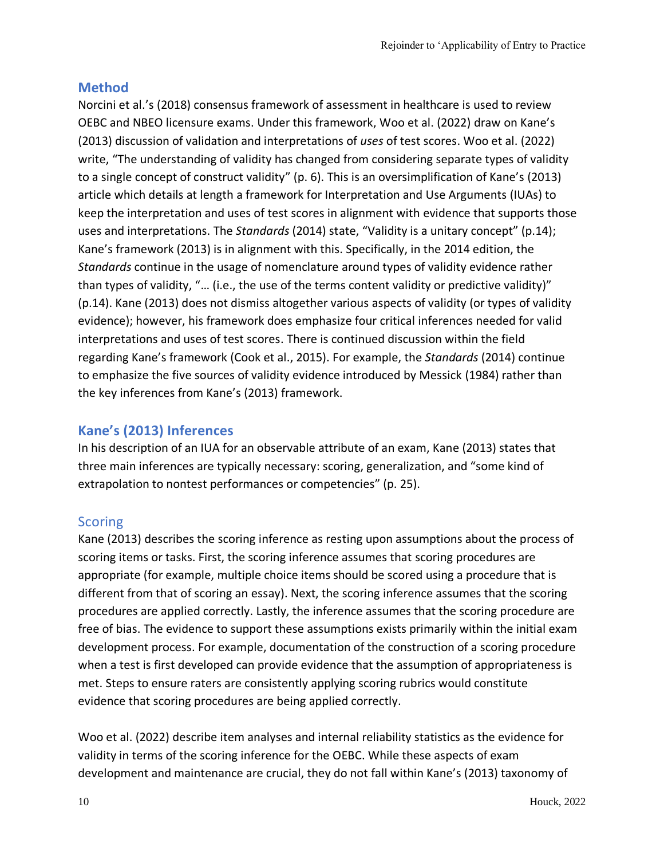# **Method**

Norcini et al.'s (2018) consensus framework of assessment in healthcare is used to review OEBC and NBEO licensure exams. Under this framework, Woo et al. (2022) draw on Kane's (2013) discussion of validation and interpretations of *uses* of test scores. Woo et al. (2022) write, "The understanding of validity has changed from considering separate types of validity to a single concept of construct validity" (p. 6). This is an oversimplification of Kane's (2013) article which details at length a framework for Interpretation and Use Arguments (IUAs) to keep the interpretation and uses of test scores in alignment with evidence that supports those uses and interpretations. The *Standards* (2014) state, "Validity is a unitary concept" (p.14); Kane's framework (2013) is in alignment with this. Specifically, in the 2014 edition, the *Standards* continue in the usage of nomenclature around types of validity evidence rather than types of validity, "… (i.e., the use of the terms content validity or predictive validity)" (p.14). Kane (2013) does not dismiss altogether various aspects of validity (or types of validity evidence); however, his framework does emphasize four critical inferences needed for valid interpretations and uses of test scores. There is continued discussion within the field regarding Kane's framework (Cook et al., 2015). For example, the *Standards* (2014) continue to emphasize the five sources of validity evidence introduced by Messick (1984) rather than the key inferences from Kane's (2013) framework.

# **Kane's (2013) Inferences**

In his description of an IUA for an observable attribute of an exam, Kane (2013) states that three main inferences are typically necessary: scoring, generalization, and "some kind of extrapolation to nontest performances or competencies" (p. 25).

#### **Scoring**

Kane (2013) describes the scoring inference as resting upon assumptions about the process of scoring items or tasks. First, the scoring inference assumes that scoring procedures are appropriate (for example, multiple choice items should be scored using a procedure that is different from that of scoring an essay). Next, the scoring inference assumes that the scoring procedures are applied correctly. Lastly, the inference assumes that the scoring procedure are free of bias. The evidence to support these assumptions exists primarily within the initial exam development process. For example, documentation of the construction of a scoring procedure when a test is first developed can provide evidence that the assumption of appropriateness is met. Steps to ensure raters are consistently applying scoring rubrics would constitute evidence that scoring procedures are being applied correctly.

Woo et al. (2022) describe item analyses and internal reliability statistics as the evidence for validity in terms of the scoring inference for the OEBC. While these aspects of exam development and maintenance are crucial, they do not fall within Kane's (2013) taxonomy of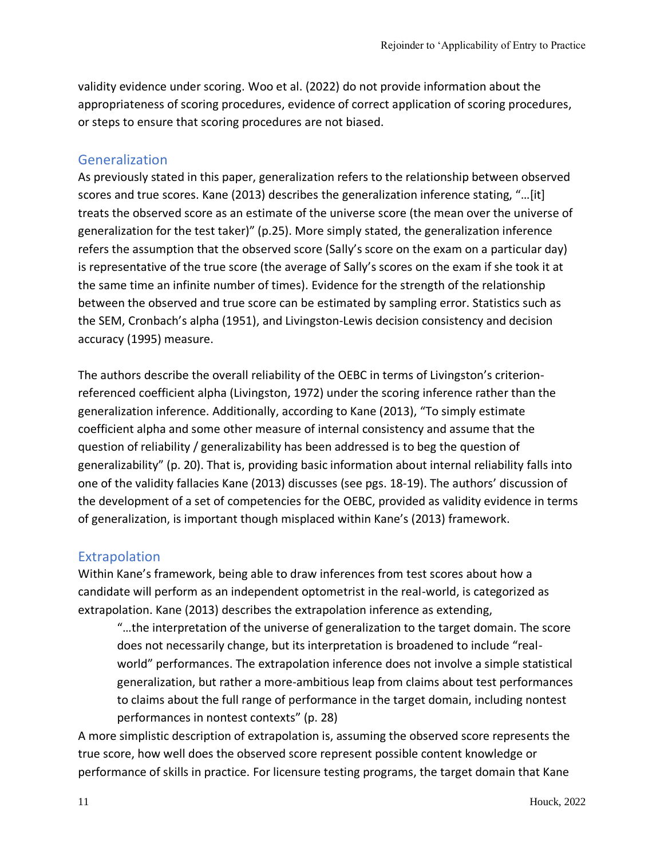validity evidence under scoring. Woo et al. (2022) do not provide information about the appropriateness of scoring procedures, evidence of correct application of scoring procedures, or steps to ensure that scoring procedures are not biased.

### Generalization

As previously stated in this paper, generalization refers to the relationship between observed scores and true scores. Kane (2013) describes the generalization inference stating, "…[it] treats the observed score as an estimate of the universe score (the mean over the universe of generalization for the test taker)" (p.25). More simply stated, the generalization inference refers the assumption that the observed score (Sally's score on the exam on a particular day) is representative of the true score (the average of Sally's scores on the exam if she took it at the same time an infinite number of times). Evidence for the strength of the relationship between the observed and true score can be estimated by sampling error. Statistics such as the SEM, Cronbach's alpha (1951), and Livingston-Lewis decision consistency and decision accuracy (1995) measure.

The authors describe the overall reliability of the OEBC in terms of Livingston's criterionreferenced coefficient alpha (Livingston, 1972) under the scoring inference rather than the generalization inference. Additionally, according to Kane (2013), "To simply estimate coefficient alpha and some other measure of internal consistency and assume that the question of reliability / generalizability has been addressed is to beg the question of generalizability" (p. 20). That is, providing basic information about internal reliability falls into one of the validity fallacies Kane (2013) discusses (see pgs. 18-19). The authors' discussion of the development of a set of competencies for the OEBC, provided as validity evidence in terms of generalization, is important though misplaced within Kane's (2013) framework.

# **Extrapolation**

Within Kane's framework, being able to draw inferences from test scores about how a candidate will perform as an independent optometrist in the real-world, is categorized as extrapolation. Kane (2013) describes the extrapolation inference as extending,

"…the interpretation of the universe of generalization to the target domain. The score does not necessarily change, but its interpretation is broadened to include "realworld" performances. The extrapolation inference does not involve a simple statistical generalization, but rather a more-ambitious leap from claims about test performances to claims about the full range of performance in the target domain, including nontest performances in nontest contexts" (p. 28)

A more simplistic description of extrapolation is, assuming the observed score represents the true score, how well does the observed score represent possible content knowledge or performance of skills in practice. For licensure testing programs, the target domain that Kane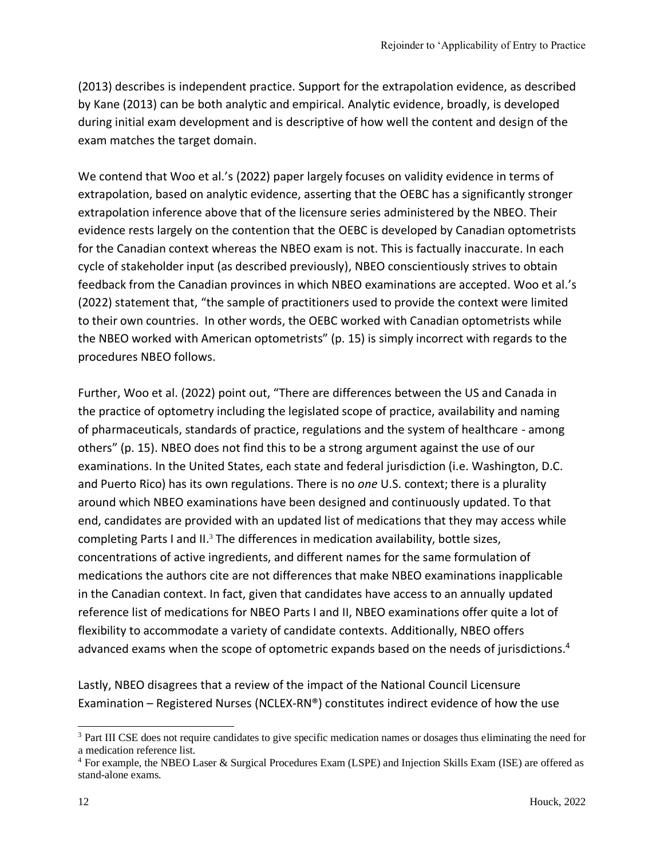(2013) describes is independent practice. Support for the extrapolation evidence, as described by Kane (2013) can be both analytic and empirical. Analytic evidence, broadly, is developed during initial exam development and is descriptive of how well the content and design of the exam matches the target domain.

We contend that Woo et al.'s (2022) paper largely focuses on validity evidence in terms of extrapolation, based on analytic evidence, asserting that the OEBC has a significantly stronger extrapolation inference above that of the licensure series administered by the NBEO. Their evidence rests largely on the contention that the OEBC is developed by Canadian optometrists for the Canadian context whereas the NBEO exam is not. This is factually inaccurate. In each cycle of stakeholder input (as described previously), NBEO conscientiously strives to obtain feedback from the Canadian provinces in which NBEO examinations are accepted. Woo et al.'s (2022) statement that, "the sample of practitioners used to provide the context were limited to their own countries. In other words, the OEBC worked with Canadian optometrists while the NBEO worked with American optometrists" (p. 15) is simply incorrect with regards to the procedures NBEO follows.

Further, Woo et al. (2022) point out, "There are differences between the US and Canada in the practice of optometry including the legislated scope of practice, availability and naming of pharmaceuticals, standards of practice, regulations and the system of healthcare - among others" (p. 15). NBEO does not find this to be a strong argument against the use of our examinations. In the United States, each state and federal jurisdiction (i.e. Washington, D.C. and Puerto Rico) has its own regulations. There is no *one* U.S. context; there is a plurality around which NBEO examinations have been designed and continuously updated. To that end, candidates are provided with an updated list of medications that they may access while completing Parts I and II.<sup>3</sup> The differences in medication availability, bottle sizes, concentrations of active ingredients, and different names for the same formulation of medications the authors cite are not differences that make NBEO examinations inapplicable in the Canadian context. In fact, given that candidates have access to an annually updated reference list of medications for NBEO Parts I and II, NBEO examinations offer quite a lot of flexibility to accommodate a variety of candidate contexts. Additionally, NBEO offers advanced exams when the scope of optometric expands based on the needs of jurisdictions.<sup>4</sup>

Lastly, NBEO disagrees that a review of the impact of the National Council Licensure Examination – Registered Nurses (NCLEX-RN®) constitutes indirect evidence of how the use

<sup>&</sup>lt;sup>3</sup> Part III CSE does not require candidates to give specific medication names or dosages thus eliminating the need for a medication reference list.

<sup>4</sup> For example, the NBEO Laser & Surgical Procedures Exam (LSPE) and Injection Skills Exam (ISE) are offered as stand-alone exams.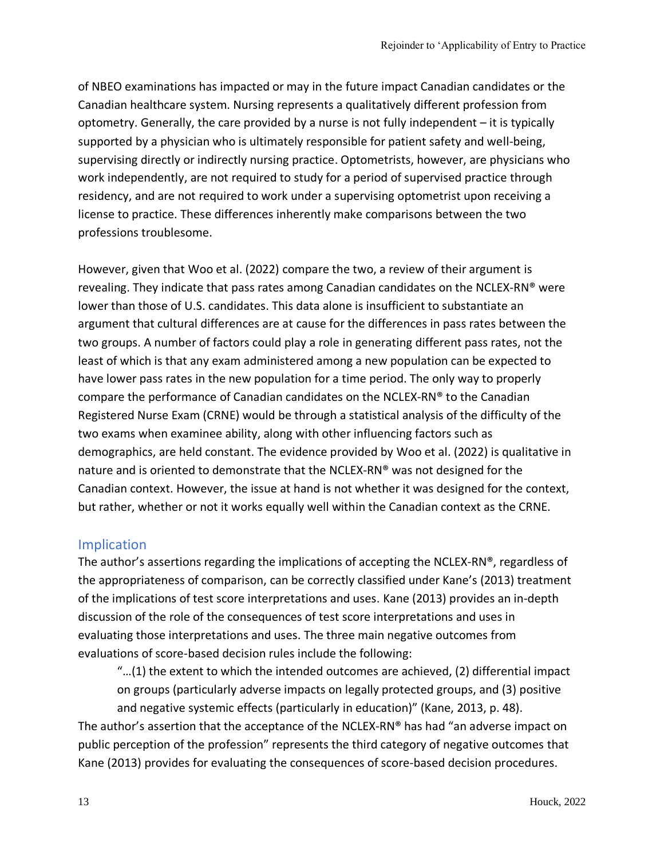of NBEO examinations has impacted or may in the future impact Canadian candidates or the Canadian healthcare system. Nursing represents a qualitatively different profession from optometry. Generally, the care provided by a nurse is not fully independent – it is typically supported by a physician who is ultimately responsible for patient safety and well-being, supervising directly or indirectly nursing practice. Optometrists, however, are physicians who work independently, are not required to study for a period of supervised practice through residency, and are not required to work under a supervising optometrist upon receiving a license to practice. These differences inherently make comparisons between the two professions troublesome.

However, given that Woo et al. (2022) compare the two, a review of their argument is revealing. They indicate that pass rates among Canadian candidates on the NCLEX-RN® were lower than those of U.S. candidates. This data alone is insufficient to substantiate an argument that cultural differences are at cause for the differences in pass rates between the two groups. A number of factors could play a role in generating different pass rates, not the least of which is that any exam administered among a new population can be expected to have lower pass rates in the new population for a time period. The only way to properly compare the performance of Canadian candidates on the NCLEX-RN® to the Canadian Registered Nurse Exam (CRNE) would be through a statistical analysis of the difficulty of the two exams when examinee ability, along with other influencing factors such as demographics, are held constant. The evidence provided by Woo et al. (2022) is qualitative in nature and is oriented to demonstrate that the NCLEX-RN® was not designed for the Canadian context. However, the issue at hand is not whether it was designed for the context, but rather, whether or not it works equally well within the Canadian context as the CRNE.

# Implication

The author's assertions regarding the implications of accepting the NCLEX-RN®, regardless of the appropriateness of comparison, can be correctly classified under Kane's (2013) treatment of the implications of test score interpretations and uses. Kane (2013) provides an in-depth discussion of the role of the consequences of test score interpretations and uses in evaluating those interpretations and uses. The three main negative outcomes from evaluations of score-based decision rules include the following:

"…(1) the extent to which the intended outcomes are achieved, (2) differential impact on groups (particularly adverse impacts on legally protected groups, and (3) positive and negative systemic effects (particularly in education)" (Kane, 2013, p. 48).

The author's assertion that the acceptance of the NCLEX-RN® has had "an adverse impact on public perception of the profession" represents the third category of negative outcomes that Kane (2013) provides for evaluating the consequences of score-based decision procedures.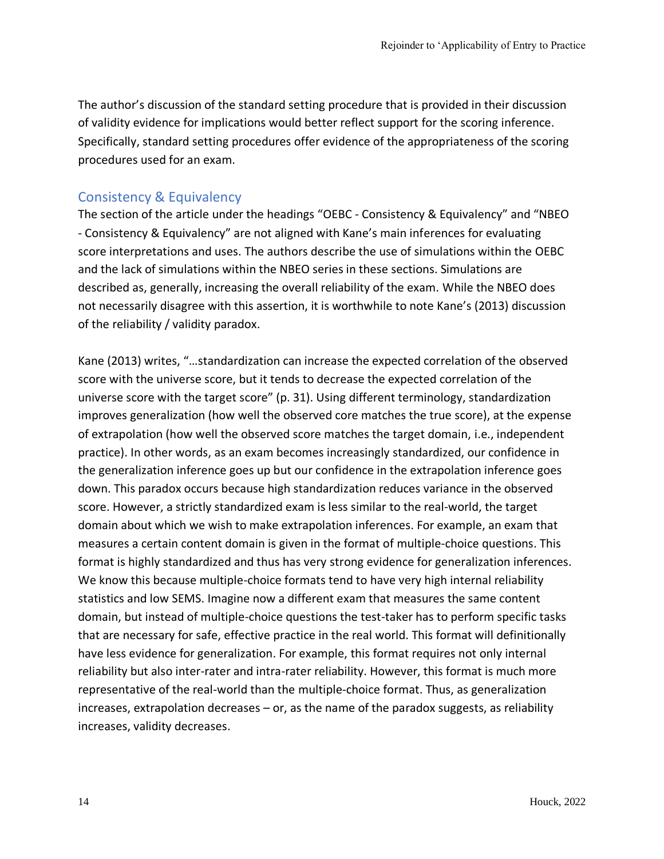The author's discussion of the standard setting procedure that is provided in their discussion of validity evidence for implications would better reflect support for the scoring inference. Specifically, standard setting procedures offer evidence of the appropriateness of the scoring procedures used for an exam.

# Consistency & Equivalency

The section of the article under the headings "OEBC - Consistency & Equivalency" and "NBEO - Consistency & Equivalency" are not aligned with Kane's main inferences for evaluating score interpretations and uses. The authors describe the use of simulations within the OEBC and the lack of simulations within the NBEO series in these sections. Simulations are described as, generally, increasing the overall reliability of the exam. While the NBEO does not necessarily disagree with this assertion, it is worthwhile to note Kane's (2013) discussion of the reliability / validity paradox.

Kane (2013) writes, "…standardization can increase the expected correlation of the observed score with the universe score, but it tends to decrease the expected correlation of the universe score with the target score" (p. 31). Using different terminology, standardization improves generalization (how well the observed core matches the true score), at the expense of extrapolation (how well the observed score matches the target domain, i.e., independent practice). In other words, as an exam becomes increasingly standardized, our confidence in the generalization inference goes up but our confidence in the extrapolation inference goes down. This paradox occurs because high standardization reduces variance in the observed score. However, a strictly standardized exam is less similar to the real-world, the target domain about which we wish to make extrapolation inferences. For example, an exam that measures a certain content domain is given in the format of multiple-choice questions. This format is highly standardized and thus has very strong evidence for generalization inferences. We know this because multiple-choice formats tend to have very high internal reliability statistics and low SEMS. Imagine now a different exam that measures the same content domain, but instead of multiple-choice questions the test-taker has to perform specific tasks that are necessary for safe, effective practice in the real world. This format will definitionally have less evidence for generalization. For example, this format requires not only internal reliability but also inter-rater and intra-rater reliability. However, this format is much more representative of the real-world than the multiple-choice format. Thus, as generalization increases, extrapolation decreases – or, as the name of the paradox suggests, as reliability increases, validity decreases.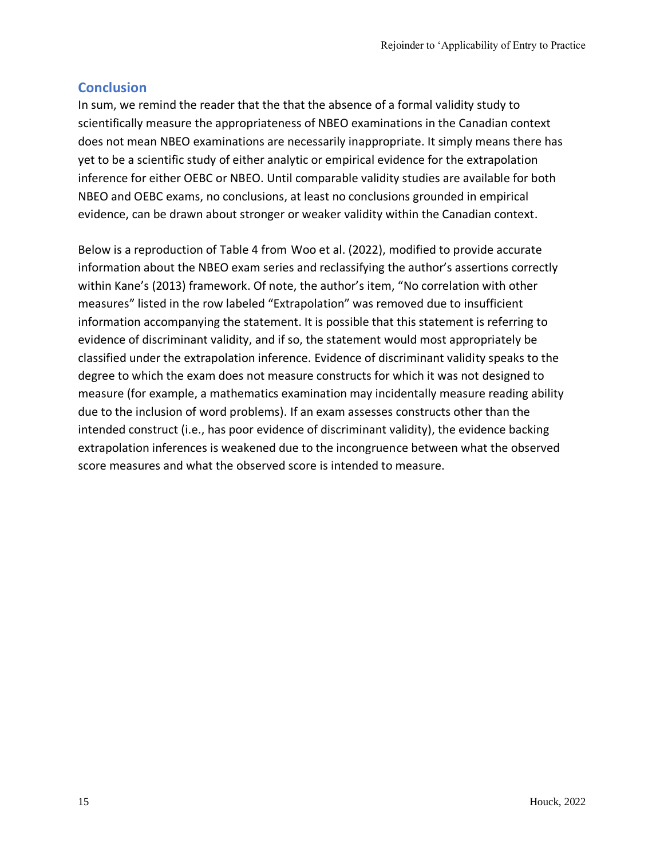### **Conclusion**

In sum, we remind the reader that the that the absence of a formal validity study to scientifically measure the appropriateness of NBEO examinations in the Canadian context does not mean NBEO examinations are necessarily inappropriate. It simply means there has yet to be a scientific study of either analytic or empirical evidence for the extrapolation inference for either OEBC or NBEO. Until comparable validity studies are available for both NBEO and OEBC exams, no conclusions, at least no conclusions grounded in empirical evidence, can be drawn about stronger or weaker validity within the Canadian context.

Below is a reproduction of Table 4 from Woo et al. (2022), modified to provide accurate information about the NBEO exam series and reclassifying the author's assertions correctly within Kane's (2013) framework. Of note, the author's item, "No correlation with other measures" listed in the row labeled "Extrapolation" was removed due to insufficient information accompanying the statement. It is possible that this statement is referring to evidence of discriminant validity, and if so, the statement would most appropriately be classified under the extrapolation inference. Evidence of discriminant validity speaks to the degree to which the exam does not measure constructs for which it was not designed to measure (for example, a mathematics examination may incidentally measure reading ability due to the inclusion of word problems). If an exam assesses constructs other than the intended construct (i.e., has poor evidence of discriminant validity), the evidence backing extrapolation inferences is weakened due to the incongruence between what the observed score measures and what the observed score is intended to measure.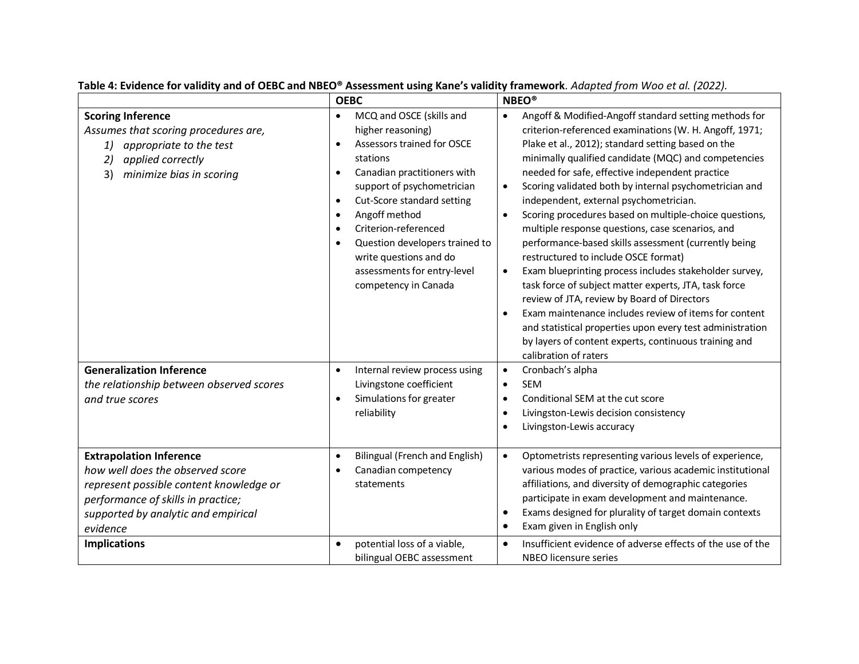|                                                                                                                                                                      | <b>OEBC</b>                                                                                                                                                                                                                                                                                                                                                                                                                               | <b>NBEO®</b>                                                                                                                                                                                                                                                                                                                                                                                                                                                                                                                                                                                                                                                                                                                                                                                                                                                                                                                                                                                                                                  |
|----------------------------------------------------------------------------------------------------------------------------------------------------------------------|-------------------------------------------------------------------------------------------------------------------------------------------------------------------------------------------------------------------------------------------------------------------------------------------------------------------------------------------------------------------------------------------------------------------------------------------|-----------------------------------------------------------------------------------------------------------------------------------------------------------------------------------------------------------------------------------------------------------------------------------------------------------------------------------------------------------------------------------------------------------------------------------------------------------------------------------------------------------------------------------------------------------------------------------------------------------------------------------------------------------------------------------------------------------------------------------------------------------------------------------------------------------------------------------------------------------------------------------------------------------------------------------------------------------------------------------------------------------------------------------------------|
| <b>Scoring Inference</b><br>Assumes that scoring procedures are,<br>1)<br>appropriate to the test<br>applied correctly<br>2)<br>3)<br>minimize bias in scoring       | MCQ and OSCE (skills and<br>$\bullet$<br>higher reasoning)<br>Assessors trained for OSCE<br>$\bullet$<br>stations<br>Canadian practitioners with<br>$\bullet$<br>support of psychometrician<br>Cut-Score standard setting<br>$\bullet$<br>Angoff method<br>$\bullet$<br>Criterion-referenced<br>$\bullet$<br>Question developers trained to<br>$\bullet$<br>write questions and do<br>assessments for entry-level<br>competency in Canada | Angoff & Modified-Angoff standard setting methods for<br>$\bullet$<br>criterion-referenced examinations (W. H. Angoff, 1971;<br>Plake et al., 2012); standard setting based on the<br>minimally qualified candidate (MQC) and competencies<br>needed for safe, effective independent practice<br>Scoring validated both by internal psychometrician and<br>$\bullet$<br>independent, external psychometrician.<br>Scoring procedures based on multiple-choice questions,<br>$\bullet$<br>multiple response questions, case scenarios, and<br>performance-based skills assessment (currently being<br>restructured to include OSCE format)<br>Exam blueprinting process includes stakeholder survey,<br>$\bullet$<br>task force of subject matter experts, JTA, task force<br>review of JTA, review by Board of Directors<br>Exam maintenance includes review of items for content<br>$\bullet$<br>and statistical properties upon every test administration<br>by layers of content experts, continuous training and<br>calibration of raters |
| <b>Generalization Inference</b><br>the relationship between observed scores<br>and true scores<br><b>Extrapolation Inference</b><br>how well does the observed score | Internal review process using<br>$\bullet$<br>Livingstone coefficient<br>Simulations for greater<br>$\bullet$<br>reliability<br><b>Bilingual (French and English)</b><br>$\bullet$<br>Canadian competency<br>$\bullet$                                                                                                                                                                                                                    | Cronbach's alpha<br>$\bullet$<br><b>SEM</b><br>$\bullet$<br>Conditional SEM at the cut score<br>$\bullet$<br>Livingston-Lewis decision consistency<br>$\bullet$<br>Livingston-Lewis accuracy<br>$\bullet$<br>Optometrists representing various levels of experience,<br>$\bullet$<br>various modes of practice, various academic institutional                                                                                                                                                                                                                                                                                                                                                                                                                                                                                                                                                                                                                                                                                                |
| represent possible content knowledge or<br>performance of skills in practice;<br>supported by analytic and empirical<br>evidence<br><b>Implications</b>              | statements<br>potential loss of a viable,<br>$\bullet$<br>bilingual OEBC assessment                                                                                                                                                                                                                                                                                                                                                       | affiliations, and diversity of demographic categories<br>participate in exam development and maintenance.<br>Exams designed for plurality of target domain contexts<br>$\bullet$<br>Exam given in English only<br>$\bullet$<br>Insufficient evidence of adverse effects of the use of the<br>$\bullet$<br>NBEO licensure series                                                                                                                                                                                                                                                                                                                                                                                                                                                                                                                                                                                                                                                                                                               |

**Table 4: Evidence for validity and of OEBC and NBEO® Assessment using Kane's validity framework***. Adapted from Woo et al. (2022).*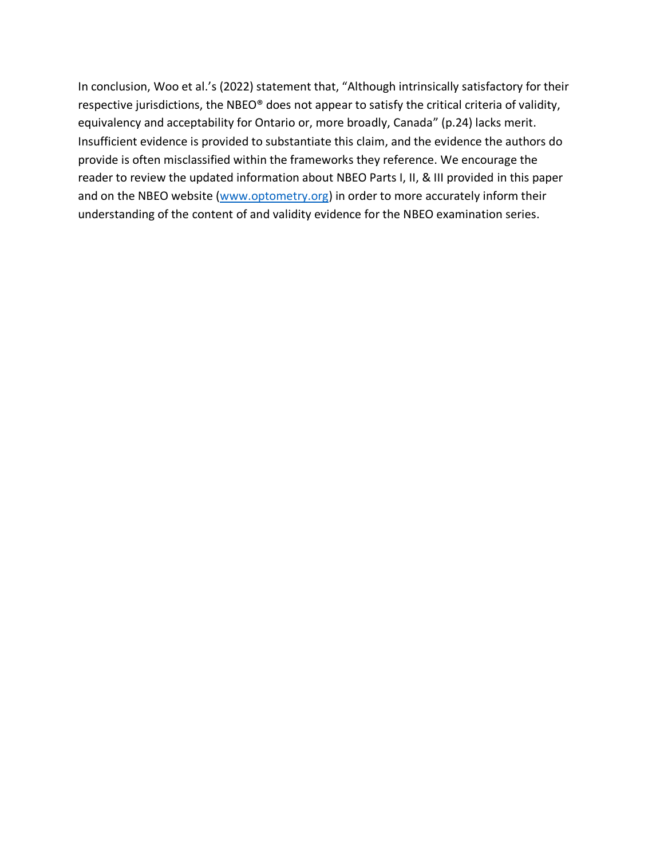In conclusion, Woo et al.'s (2022) statement that, "Although intrinsically satisfactory for their respective jurisdictions, the NBEO® does not appear to satisfy the critical criteria of validity, equivalency and acceptability for Ontario or, more broadly, Canada" (p.24) lacks merit. Insufficient evidence is provided to substantiate this claim, and the evidence the authors do provide is often misclassified within the frameworks they reference. We encourage the reader to review the updated information about NBEO Parts I, II, & III provided in this paper and on the NBEO website [\(www.optometry.org\)](http://www.optometry.org/) in order to more accurately inform their understanding of the content of and validity evidence for the NBEO examination series.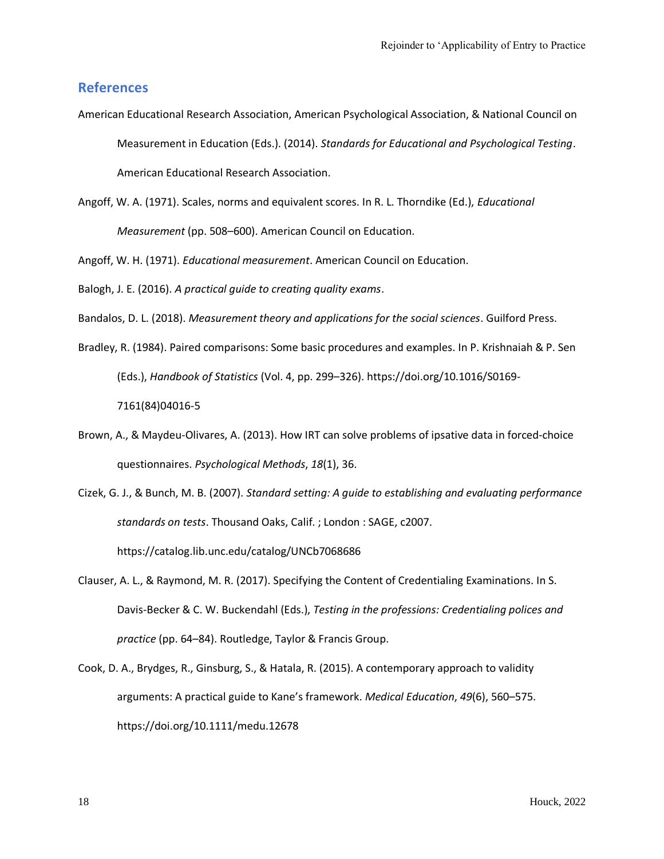#### **References**

- American Educational Research Association, American Psychological Association, & National Council on Measurement in Education (Eds.). (2014). *Standards for Educational and Psychological Testing*. American Educational Research Association.
- Angoff, W. A. (1971). Scales, norms and equivalent scores. In R. L. Thorndike (Ed.), *Educational Measurement* (pp. 508–600). American Council on Education.

Angoff, W. H. (1971). *Educational measurement*. American Council on Education.

Balogh, J. E. (2016). *A practical guide to creating quality exams*.

- Bandalos, D. L. (2018). *Measurement theory and applications for the social sciences*. Guilford Press.
- Bradley, R. (1984). Paired comparisons: Some basic procedures and examples. In P. Krishnaiah & P. Sen (Eds.), *Handbook of Statistics* (Vol. 4, pp. 299–326). https://doi.org/10.1016/S0169- 7161(84)04016-5
- Brown, A., & Maydeu-Olivares, A. (2013). How IRT can solve problems of ipsative data in forced-choice questionnaires. *Psychological Methods*, *18*(1), 36.
- Cizek, G. J., & Bunch, M. B. (2007). *Standard setting: A guide to establishing and evaluating performance standards on tests*. Thousand Oaks, Calif. ; London : SAGE, c2007. https://catalog.lib.unc.edu/catalog/UNCb7068686
- Clauser, A. L., & Raymond, M. R. (2017). Specifying the Content of Credentialing Examinations. In S. Davis-Becker & C. W. Buckendahl (Eds.), *Testing in the professions: Credentialing polices and practice* (pp. 64–84). Routledge, Taylor & Francis Group.
- Cook, D. A., Brydges, R., Ginsburg, S., & Hatala, R. (2015). A contemporary approach to validity arguments: A practical guide to Kane's framework. *Medical Education*, *49*(6), 560–575. https://doi.org/10.1111/medu.12678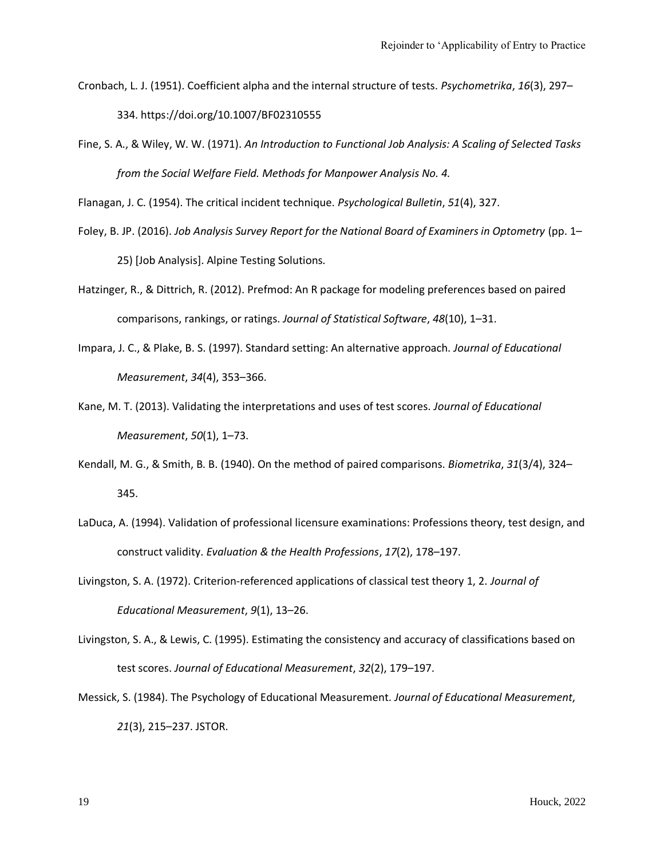- Cronbach, L. J. (1951). Coefficient alpha and the internal structure of tests. *Psychometrika*, *16*(3), 297– 334. https://doi.org/10.1007/BF02310555
- Fine, S. A., & Wiley, W. W. (1971). *An Introduction to Functional Job Analysis: A Scaling of Selected Tasks from the Social Welfare Field. Methods for Manpower Analysis No. 4.*

Flanagan, J. C. (1954). The critical incident technique. *Psychological Bulletin*, *51*(4), 327.

- Foley, B. JP. (2016). *Job Analysis Survey Report for the National Board of Examiners in Optometry* (pp. 1– 25) [Job Analysis]. Alpine Testing Solutions.
- Hatzinger, R., & Dittrich, R. (2012). Prefmod: An R package for modeling preferences based on paired comparisons, rankings, or ratings. *Journal of Statistical Software*, *48*(10), 1–31.
- Impara, J. C., & Plake, B. S. (1997). Standard setting: An alternative approach. *Journal of Educational Measurement*, *34*(4), 353–366.
- Kane, M. T. (2013). Validating the interpretations and uses of test scores. *Journal of Educational Measurement*, *50*(1), 1–73.
- Kendall, M. G., & Smith, B. B. (1940). On the method of paired comparisons. *Biometrika*, *31*(3/4), 324– 345.
- LaDuca, A. (1994). Validation of professional licensure examinations: Professions theory, test design, and construct validity. *Evaluation & the Health Professions*, *17*(2), 178–197.
- Livingston, S. A. (1972). Criterion‐referenced applications of classical test theory 1, 2. *Journal of Educational Measurement*, *9*(1), 13–26.
- Livingston, S. A., & Lewis, C. (1995). Estimating the consistency and accuracy of classifications based on test scores. *Journal of Educational Measurement*, *32*(2), 179–197.
- Messick, S. (1984). The Psychology of Educational Measurement. *Journal of Educational Measurement*, *21*(3), 215–237. JSTOR.